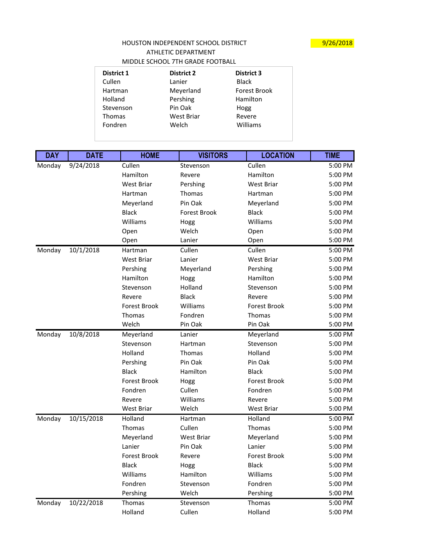## HOUSTON INDEPENDENT SCHOOL DISTRICT MEDICINE 19/26/2018 ATHLETIC DEPARTMENT MIDDLE SCHOOL 7TH GRADE FOOTBALL

| <b>District 1</b> | <b>District 2</b> | <b>District 3</b>   |
|-------------------|-------------------|---------------------|
| Cullen            | Lanier            | <b>Black</b>        |
| Hartman           | Meyerland         | <b>Forest Brook</b> |
| Holland           | Pershing          | Hamilton            |
| Stevenson         | Pin Oak           | Hogg                |
| Thomas            | <b>West Briar</b> | Revere              |
| Fondren           | Welch             | Williams            |
|                   |                   |                     |

| <b>DAY</b> | <b>DATE</b> | <b>HOME</b>         | <b>VISITORS</b>     | <b>LOCATION</b>     | <b>TIME</b> |
|------------|-------------|---------------------|---------------------|---------------------|-------------|
| Monday     | 9/24/2018   | Cullen              | Stevenson           | Cullen              | 5:00 PM     |
|            |             | Hamilton            | Revere              | Hamilton            | 5:00 PM     |
|            |             | <b>West Briar</b>   | Pershing            | <b>West Briar</b>   | 5:00 PM     |
|            |             | Hartman             | <b>Thomas</b>       | Hartman             | 5:00 PM     |
|            |             | Meyerland           | Pin Oak             | Meyerland           | 5:00 PM     |
|            |             | <b>Black</b>        | <b>Forest Brook</b> | <b>Black</b>        | 5:00 PM     |
|            |             | Williams            | Hogg                | Williams            | 5:00 PM     |
|            |             | Open                | Welch               | Open                | 5:00 PM     |
|            |             | Open                | Lanier              | Open                | 5:00 PM     |
| Monday     | 10/1/2018   | Hartman             | Cullen              | Cullen              | 5:00 PM     |
|            |             | <b>West Briar</b>   | Lanier              | <b>West Briar</b>   | 5:00 PM     |
|            |             | Pershing            | Meyerland           | Pershing            | 5:00 PM     |
|            |             | Hamilton            | Hogg                | Hamilton            | 5:00 PM     |
|            |             | Stevenson           | Holland             | Stevenson           | 5:00 PM     |
|            |             | Revere              | <b>Black</b>        | Revere              | 5:00 PM     |
|            |             | <b>Forest Brook</b> | Williams            | <b>Forest Brook</b> | 5:00 PM     |
|            |             | <b>Thomas</b>       | Fondren             | Thomas              | 5:00 PM     |
|            |             | Welch               | Pin Oak             | Pin Oak             | 5:00 PM     |
| Monday     | 10/8/2018   | Meyerland           | Lanier              | Meyerland           | 5:00 PM     |
|            |             | Stevenson           | Hartman             | Stevenson           | 5:00 PM     |
|            |             | Holland             | <b>Thomas</b>       | Holland             | 5:00 PM     |
|            |             | Pershing            | Pin Oak             | Pin Oak             | 5:00 PM     |
|            |             | <b>Black</b>        | Hamilton            | <b>Black</b>        | 5:00 PM     |
|            |             | <b>Forest Brook</b> | Hogg                | <b>Forest Brook</b> | 5:00 PM     |
|            |             | Fondren             | Cullen              | Fondren             | 5:00 PM     |
|            |             | Revere              | Williams            | Revere              | 5:00 PM     |
|            |             | <b>West Briar</b>   | Welch               | <b>West Briar</b>   | 5:00 PM     |
| Monday     | 10/15/2018  | Holland             | Hartman             | Holland             | 5:00 PM     |
|            |             | <b>Thomas</b>       | Cullen              | <b>Thomas</b>       | 5:00 PM     |
|            |             | Meyerland           | <b>West Briar</b>   | Meyerland           | 5:00 PM     |
|            |             | Lanier              | Pin Oak             | Lanier              | 5:00 PM     |
|            |             | <b>Forest Brook</b> | Revere              | <b>Forest Brook</b> | 5:00 PM     |
|            |             | <b>Black</b>        | Hogg                | <b>Black</b>        | 5:00 PM     |
|            |             | Williams            | Hamilton            | Williams            | 5:00 PM     |
|            |             | Fondren             | Stevenson           | Fondren             | 5:00 PM     |
|            |             | Pershing            | Welch               | Pershing            | 5:00 PM     |
| Monday     | 10/22/2018  | Thomas              | Stevenson           | Thomas              | 5:00 PM     |
|            |             | Holland             | Cullen              | Holland             | 5:00 PM     |